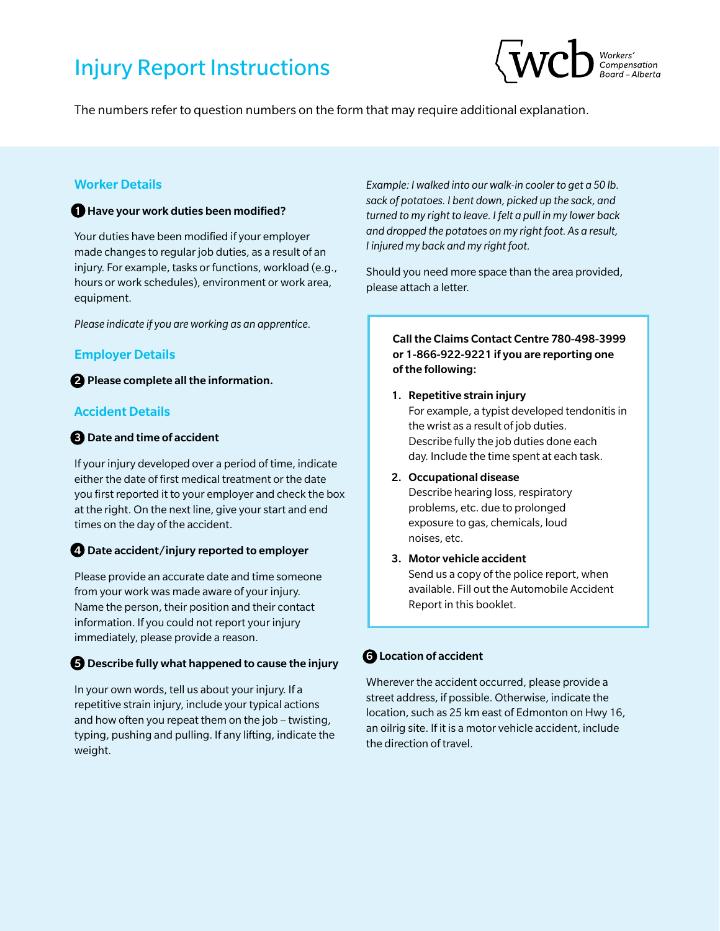# Injury Report Instructions



The numbers refer to question numbers on the form that may require additional explanation.

### Worker Details

#### **1** Have your work duties been modified?

Your duties have been modified if your employer made changes to regular job duties, as a result of an injury. For example, tasks or functions, workload (e.g., hours or work schedules), environment or work area, equipment.

*Please indicate if you are working as an apprentice.*

#### Employer Details

<sup>2</sup> Please complete all the information.

#### Accident Details

#### 3 Date and time of accident

If your injury developed over a period of time, indicate either the date of first medical treatment or the date you first reported it to your employer and check the box at the right. On the next line, give your start and end times on the day of the accident.

#### 4 Date accident/injury reported to employer

Please provide an accurate date and time someone from your work was made aware of your injury. Name the person, their position and their contact information. If you could not report your injury immediately, please provide a reason.

#### 5 Describe fully what happened to cause the injury

In your own words, tell us about your injury. If a repetitive strain injury, include your typical actions and how often you repeat them on the job – twisting, typing, pushing and pulling. If any lifting, indicate the weight.

*Example: I walked into our walk-in cooler to get a 50 lb. sack of potatoes. I bent down, picked up the sack, and turned to my right to leave. I felt a pull in my lower back and dropped the potatoes on my right foot. As a result, I injured my back and my right foot.* 

Should you need more space than the area provided, please attach a letter.

#### Call the Claims Contact Centre 780-498-3999 or 1-866-922-9221 if you are reporting one of the following:

1. Repetitive strain injury

For example, a typist developed tendonitis in the wrist as a result of job duties. Describe fully the job duties done each day. Include the time spent at each task.

#### 2. Occupational disease

Describe hearing loss, respiratory problems, etc. due to prolonged exposure to gas, chemicals, loud noises, etc.

#### 3. Motor vehicle accident

Send us a copy of the police report, when available. Fill out the Automobile Accident Report in this booklet.

# **6** Location of accident

Wherever the accident occurred, please provide a street address, if possible. Otherwise, indicate the location, such as 25 km east of Edmonton on Hwy 16, an oilrig site. If it is a motor vehicle accident, include the direction of travel.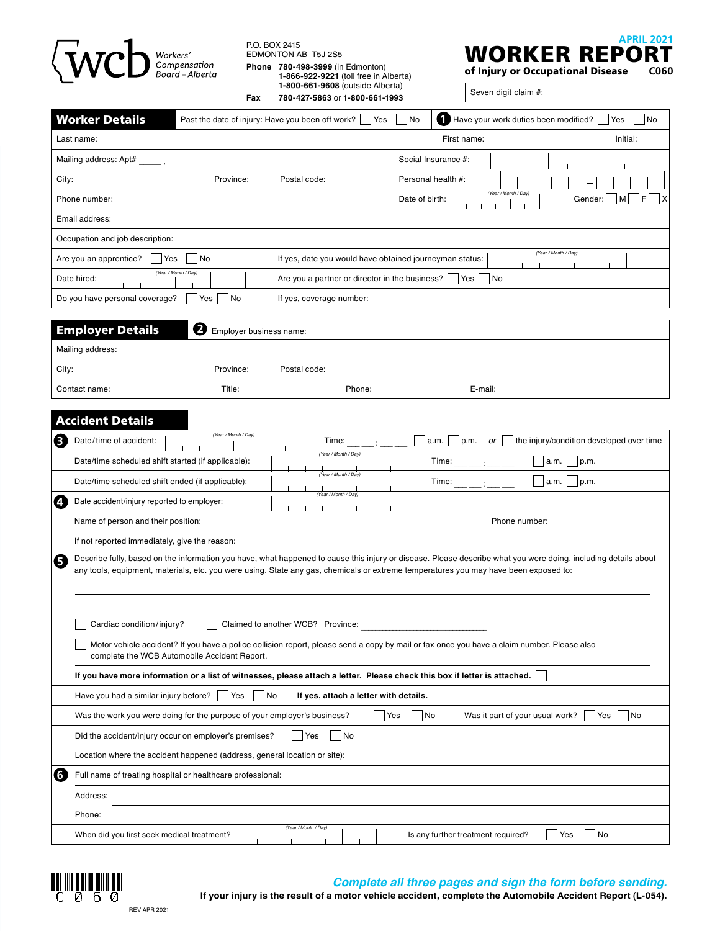| $\langle$ WCD <sup>Vorkers'</sup>                                                                                                                                                          | P.O. BOX 2415<br>Fax                          | EDMONTON AB T5J 2S5<br>Phone 780-498-3999 (in Edmonton)<br>1-866-922-9221 (toll free in Alberta)<br>1-800-661-9608 (outside Alberta)<br>780-427-5863 or 1-800-661-1993 |                | <b>APRIL 2021</b><br>WORKER REPO<br>of Injury or Occupational Disease<br>C060<br>Seven digit claim #:                                                          |  |  |  |  |  |  |  |
|--------------------------------------------------------------------------------------------------------------------------------------------------------------------------------------------|-----------------------------------------------|------------------------------------------------------------------------------------------------------------------------------------------------------------------------|----------------|----------------------------------------------------------------------------------------------------------------------------------------------------------------|--|--|--|--|--|--|--|
| <b>Worker Details</b>                                                                                                                                                                      |                                               | Past the date of injury: Have you been off work?<br>Yes                                                                                                                | No             | Have your work duties been modified?<br>Yes<br>N <sub>o</sub>                                                                                                  |  |  |  |  |  |  |  |
| Last name:                                                                                                                                                                                 |                                               |                                                                                                                                                                        |                | Initial:<br>First name:                                                                                                                                        |  |  |  |  |  |  |  |
| Mailing address: Apt#                                                                                                                                                                      |                                               |                                                                                                                                                                        |                | Social Insurance #:                                                                                                                                            |  |  |  |  |  |  |  |
| City:<br>Province:                                                                                                                                                                         |                                               | Postal code:                                                                                                                                                           |                | Personal health #:                                                                                                                                             |  |  |  |  |  |  |  |
| Phone number:                                                                                                                                                                              |                                               |                                                                                                                                                                        | Date of birth: | (Year / Month / Day)<br>- IF<br>Gender:<br>M<br>X                                                                                                              |  |  |  |  |  |  |  |
| Email address:                                                                                                                                                                             |                                               |                                                                                                                                                                        |                |                                                                                                                                                                |  |  |  |  |  |  |  |
| Occupation and job description:                                                                                                                                                            |                                               |                                                                                                                                                                        |                |                                                                                                                                                                |  |  |  |  |  |  |  |
| Are you an apprentice?<br>Yes<br>No                                                                                                                                                        |                                               | If yes, date you would have obtained journeyman status:                                                                                                                |                | (Year / Month / Day)                                                                                                                                           |  |  |  |  |  |  |  |
| (Year / Month / Day)<br>Date hired:<br>Are you a partner or director in the business?<br>Yes<br>No.                                                                                        |                                               |                                                                                                                                                                        |                |                                                                                                                                                                |  |  |  |  |  |  |  |
| Do you have personal coverage?<br>Yes                                                                                                                                                      | l No                                          | If yes, coverage number:                                                                                                                                               |                |                                                                                                                                                                |  |  |  |  |  |  |  |
|                                                                                                                                                                                            |                                               |                                                                                                                                                                        |                |                                                                                                                                                                |  |  |  |  |  |  |  |
| <b>Employer Details</b><br>❷                                                                                                                                                               | Employer business name:                       |                                                                                                                                                                        |                |                                                                                                                                                                |  |  |  |  |  |  |  |
| Mailing address:                                                                                                                                                                           |                                               |                                                                                                                                                                        |                |                                                                                                                                                                |  |  |  |  |  |  |  |
| Province:<br>City:                                                                                                                                                                         |                                               | Postal code:                                                                                                                                                           |                |                                                                                                                                                                |  |  |  |  |  |  |  |
| Title:<br>Contact name:                                                                                                                                                                    |                                               | Phone:                                                                                                                                                                 |                | E-mail:                                                                                                                                                        |  |  |  |  |  |  |  |
| <b>Accident Details</b>                                                                                                                                                                    |                                               |                                                                                                                                                                        |                |                                                                                                                                                                |  |  |  |  |  |  |  |
| 3<br>Date/time of accident:                                                                                                                                                                | (Year / Month / Day)                          | Time:                                                                                                                                                                  |                | the injury/condition developed over time<br>a.m.<br>p.m.<br>or                                                                                                 |  |  |  |  |  |  |  |
| Date/time scheduled shift started (if applicable):                                                                                                                                         |                                               | (Year / Month / Day)                                                                                                                                                   |                | Time:<br>p.m.<br>a.m.                                                                                                                                          |  |  |  |  |  |  |  |
| Date/time scheduled shift ended (if applicable):                                                                                                                                           | (Year / Month / Day)<br>Time:<br>p.m.<br>a.m. |                                                                                                                                                                        |                |                                                                                                                                                                |  |  |  |  |  |  |  |
| 4.<br>Date accident/injury reported to employer:                                                                                                                                           | (Year / Month / Day)                          |                                                                                                                                                                        |                |                                                                                                                                                                |  |  |  |  |  |  |  |
| Name of person and their position:                                                                                                                                                         | Phone number:                                 |                                                                                                                                                                        |                |                                                                                                                                                                |  |  |  |  |  |  |  |
| If not reported immediately, give the reason:                                                                                                                                              |                                               |                                                                                                                                                                        |                |                                                                                                                                                                |  |  |  |  |  |  |  |
| Э<br>any tools, equipment, materials, etc. you were using. State any gas, chemicals or extreme temperatures you may have been exposed to:                                                  |                                               |                                                                                                                                                                        |                | Describe fully, based on the information you have, what happened to cause this injury or disease. Please describe what you were doing, including details about |  |  |  |  |  |  |  |
| Cardiac condition/injury?                                                                                                                                                                  |                                               | Claimed to another WCB? Province:                                                                                                                                      |                |                                                                                                                                                                |  |  |  |  |  |  |  |
| Motor vehicle accident? If you have a police collision report, please send a copy by mail or fax once you have a claim number. Please also<br>complete the WCB Automobile Accident Report. |                                               |                                                                                                                                                                        |                |                                                                                                                                                                |  |  |  |  |  |  |  |
| If you have more information or a list of witnesses, please attach a letter. Please check this box if letter is attached.                                                                  |                                               |                                                                                                                                                                        |                |                                                                                                                                                                |  |  |  |  |  |  |  |
| Have you had a similar injury before?                                                                                                                                                      | No<br>Yes                                     | If yes, attach a letter with details.                                                                                                                                  |                |                                                                                                                                                                |  |  |  |  |  |  |  |
| Was it part of your usual work?<br>Was the work you were doing for the purpose of your employer's business?<br>Yes<br>No<br>Yes<br> No                                                     |                                               |                                                                                                                                                                        |                |                                                                                                                                                                |  |  |  |  |  |  |  |
| No<br>Did the accident/injury occur on employer's premises?<br>Yes                                                                                                                         |                                               |                                                                                                                                                                        |                |                                                                                                                                                                |  |  |  |  |  |  |  |
| Location where the accident happened (address, general location or site):                                                                                                                  |                                               |                                                                                                                                                                        |                |                                                                                                                                                                |  |  |  |  |  |  |  |
| $\overline{6}$<br>Full name of treating hospital or healthcare professional:                                                                                                               |                                               |                                                                                                                                                                        |                |                                                                                                                                                                |  |  |  |  |  |  |  |
| Address:                                                                                                                                                                                   |                                               |                                                                                                                                                                        |                |                                                                                                                                                                |  |  |  |  |  |  |  |
| Phone:                                                                                                                                                                                     |                                               |                                                                                                                                                                        |                |                                                                                                                                                                |  |  |  |  |  |  |  |
| When did you first seek medical treatment?                                                                                                                                                 |                                               | (Year / Month / Day)                                                                                                                                                   |                | Is any further treatment required?<br>Yes<br>No                                                                                                                |  |  |  |  |  |  |  |



#### *Complete all three pages and sign the form before sending.*

**If your injury is the result of a motor vehicle accident, complete the Automobile Accident Report (L-054).**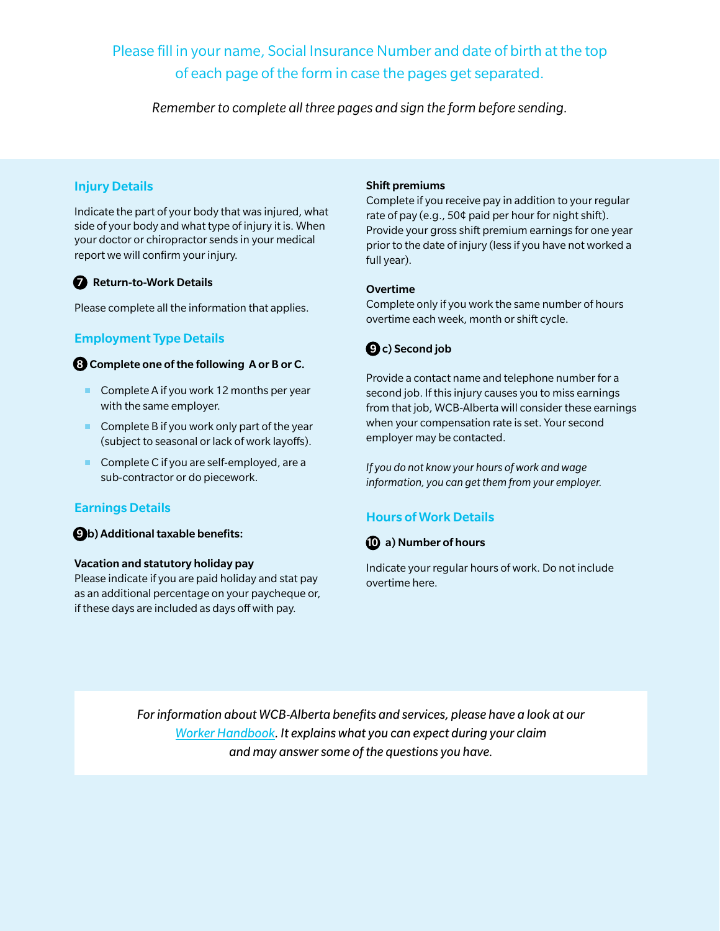Please fill in your name, Social Insurance Number and date of birth at the top of each page of the form in case the pages get separated.

*Remember to complete all three pages and sign the form before sending.*

# Injury Details

Indicate the part of your body that was injured, what side of your body and what type of injury it is. When your doctor or chiropractor sends in your medical report we will confirm your injury.

#### **7** Return-to-Work Details

Please complete all the information that applies.

# Employment Type Details

#### 8 Complete one of the following A or B or C.

- Complete A if you work 12 months per year with the same employer.
- Complete B if you work only part of the year (subject to seasonal or lack of work layoffs).
- Complete C if you are self-employed, are a sub-contractor or do piecework.

## Earnings Details

9 b) Additional taxable benefits:

#### Vacation and statutory holiday pay

Please indicate if you are paid holiday and stat pay as an additional percentage on your paycheque or, if these days are included as days off with pay.

#### Shift premiums

Complete if you receive pay in addition to your regular rate of pay (e.g., 50¢ paid per hour for night shift). Provide your gross shift premium earnings for one year prior to the date of injury (less if you have not worked a full year).

#### Overtime

Complete only if you work the same number of hours overtime each week, month or shift cycle.



Provide a contact name and telephone number for a second job. If this injury causes you to miss earnings from that job, WCB-Alberta will consider these earnings when your compensation rate is set. Your second employer may be contacted.

*If you do not know your hours of work and wage information, you can get them from your employer.*

## Hours of Work Details



Indicate your regular hours of work. Do not include overtime here.

*For information about WCB-Alberta benefits and services, please have a look at our [Worker Handbook](https://www.wcb.ab.ca/assets/pdfs/workers/WCB-003_Worker_Handbook.pdf). It explains what you can expect during your claim and may answer some of the questions you have.*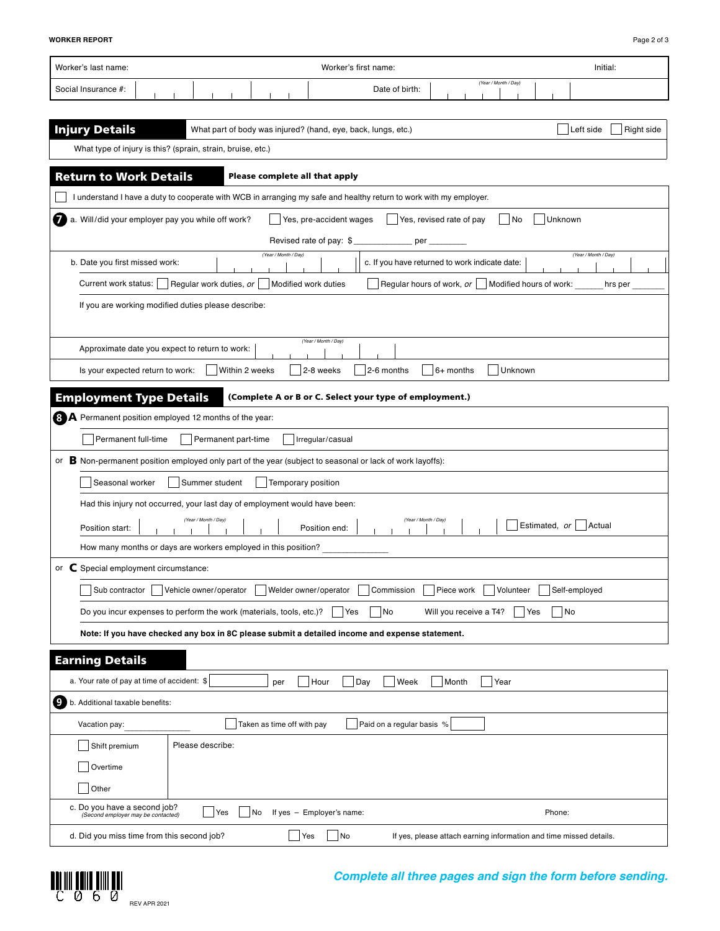| Worker's last name:<br>Worker's first name:<br>Initial:                                                                                     |  |  |  |  |  |  |  |
|---------------------------------------------------------------------------------------------------------------------------------------------|--|--|--|--|--|--|--|
| (Year / Month / Day)<br>Date of birth:<br>Social Insurance #:                                                                               |  |  |  |  |  |  |  |
|                                                                                                                                             |  |  |  |  |  |  |  |
| <b>Injury Details</b><br>Left side<br>What part of body was injured? (hand, eye, back, lungs, etc.)<br>Right side                           |  |  |  |  |  |  |  |
| What type of injury is this? (sprain, strain, bruise, etc.)                                                                                 |  |  |  |  |  |  |  |
| <b>Return to Work Details</b><br>Please complete all that apply                                                                             |  |  |  |  |  |  |  |
| I understand I have a duty to cooperate with WCB in arranging my safe and healthy return to work with my employer.                          |  |  |  |  |  |  |  |
| a. Will/did your employer pay you while off work?<br>Yes, pre-accident wages<br>Yes, revised rate of pay<br> No<br>Unknown                  |  |  |  |  |  |  |  |
| Revised rate of pay: \$<br>per                                                                                                              |  |  |  |  |  |  |  |
| (Year / Month / Day)<br>(Year / Month / Day)<br>b. Date you first missed work:<br>c. If you have returned to work indicate date:            |  |  |  |  |  |  |  |
| Regular work duties, or<br>Regular hours of work, $or$   Modified hours of work:<br>Current work status:<br>Modified work duties<br>hrs per |  |  |  |  |  |  |  |
| If you are working modified duties please describe:                                                                                         |  |  |  |  |  |  |  |
| (Year / Month / Day)                                                                                                                        |  |  |  |  |  |  |  |
| Approximate date you expect to return to work:                                                                                              |  |  |  |  |  |  |  |
| Within 2 weeks<br>2-8 weeks<br>Unknown<br>2-6 months<br>$6+$ months<br>Is your expected return to work:                                     |  |  |  |  |  |  |  |
| <b>Employment Type Details</b><br>(Complete A or B or C. Select your type of employment.)                                                   |  |  |  |  |  |  |  |
| <b>B</b> A Permanent position employed 12 months of the year:                                                                               |  |  |  |  |  |  |  |
| Permanent full-time<br>Permanent part-time<br>Irregular/casual                                                                              |  |  |  |  |  |  |  |
| or B Non-permanent position employed only part of the year (subject to seasonal or lack of work layoffs):                                   |  |  |  |  |  |  |  |
| Seasonal worker<br>Summer student<br>Temporary position                                                                                     |  |  |  |  |  |  |  |
| Had this injury not occurred, your last day of employment would have been:                                                                  |  |  |  |  |  |  |  |
| (Year / Month / Day)<br>(Year / Month / Day)<br>Estimated, or<br>Actual<br>Position start:<br>Position end:                                 |  |  |  |  |  |  |  |
| How many months or days are workers employed in this position?                                                                              |  |  |  |  |  |  |  |
| C Special employment circumstance:<br>or                                                                                                    |  |  |  |  |  |  |  |
| Volunteer<br>Sub contractor<br>Vehicle owner/operator<br>Welder owner/operator<br>Commission<br>Piece work<br>Self-employed                 |  |  |  |  |  |  |  |
| No<br>No<br>Do you incur expenses to perform the work (materials, tools, etc.)?<br> Yes<br>Will you receive a T4?<br>Yes                    |  |  |  |  |  |  |  |
| Note: If you have checked any box in 8C please submit a detailed income and expense statement.                                              |  |  |  |  |  |  |  |
| <b>Earning Details</b>                                                                                                                      |  |  |  |  |  |  |  |
| a. Your rate of pay at time of accident: \$<br>Hour<br>Day<br>Week<br>Month<br>Year<br>per                                                  |  |  |  |  |  |  |  |
| .9<br>b. Additional taxable benefits:                                                                                                       |  |  |  |  |  |  |  |
| Taken as time off with pay<br>Paid on a regular basis %<br>Vacation pay:                                                                    |  |  |  |  |  |  |  |
| Please describe:<br>Shift premium                                                                                                           |  |  |  |  |  |  |  |
| Overtime                                                                                                                                    |  |  |  |  |  |  |  |
| Other                                                                                                                                       |  |  |  |  |  |  |  |
| c. Do you have a second job?<br>Yes<br>No<br>If yes - Employer's name:<br>Phone:<br>(Second employer may be contacted)                      |  |  |  |  |  |  |  |
| d. Did you miss time from this second job?<br> No<br>Yes<br>If yes, please attach earning information and time missed details.              |  |  |  |  |  |  |  |



# *Complete all three pages and sign the form before sending.*